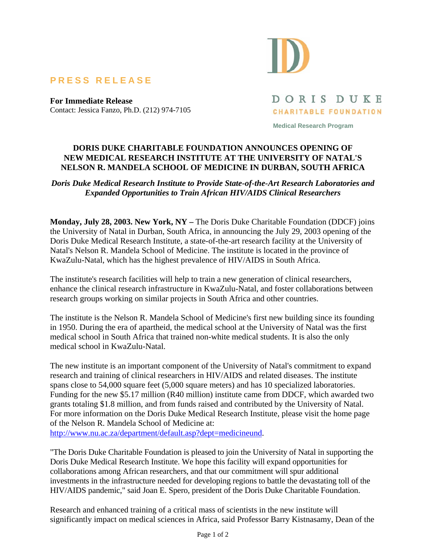## **PRESS RELEASE**

**For Immediate Release**  Contact: Jessica Fanzo, Ph.D. (212) 974-7105



DORIS DUKE **CHARITABLE FOUNDATION** 

**Medical Research Program** 

## **DORIS DUKE CHARITABLE FOUNDATION ANNOUNCES OPENING OF NEW MEDICAL RESEARCH INSTITUTE AT THE UNIVERSITY OF NATAL'S NELSON R. MANDELA SCHOOL OF MEDICINE IN DURBAN, SOUTH AFRICA**

## *Doris Duke Medical Research Institute to Provide State-of-the-Art Research Laboratories and Expanded Opportunities to Train African HIV/AIDS Clinical Researchers*

**Monday, July 28, 2003. New York, NY –** The Doris Duke Charitable Foundation (DDCF) joins the University of Natal in Durban, South Africa, in announcing the July 29, 2003 opening of the Doris Duke Medical Research Institute, a state-of-the-art research facility at the University of Natal's Nelson R. Mandela School of Medicine. The institute is located in the province of KwaZulu-Natal, which has the highest prevalence of HIV/AIDS in South Africa.

The institute's research facilities will help to train a new generation of clinical researchers, enhance the clinical research infrastructure in KwaZulu-Natal, and foster collaborations between research groups working on similar projects in South Africa and other countries.

The institute is the Nelson R. Mandela School of Medicine's first new building since its founding in 1950. During the era of apartheid, the medical school at the University of Natal was the first medical school in South Africa that trained non-white medical students. It is also the only medical school in KwaZulu-Natal.

The new institute is an important component of the University of Natal's commitment to expand research and training of clinical researchers in HIV/AIDS and related diseases. The institute spans close to 54,000 square feet (5,000 square meters) and has 10 specialized laboratories. Funding for the new \$5.17 million (R40 million) institute came from DDCF, which awarded two grants totaling \$1.8 million, and from funds raised and contributed by the University of Natal. For more information on the Doris Duke Medical Research Institute, please visit the home page of the Nelson R. Mandela School of Medicine at:

http://www.nu.ac.za/department/default.asp?dept=medicineund.

"The Doris Duke Charitable Foundation is pleased to join the University of Natal in supporting the Doris Duke Medical Research Institute. We hope this facility will expand opportunities for collaborations among African researchers, and that our commitment will spur additional investments in the infrastructure needed for developing regions to battle the devastating toll of the HIV/AIDS pandemic," said Joan E. Spero, president of the Doris Duke Charitable Foundation.

Research and enhanced training of a critical mass of scientists in the new institute will significantly impact on medical sciences in Africa, said Professor Barry Kistnasamy, Dean of the